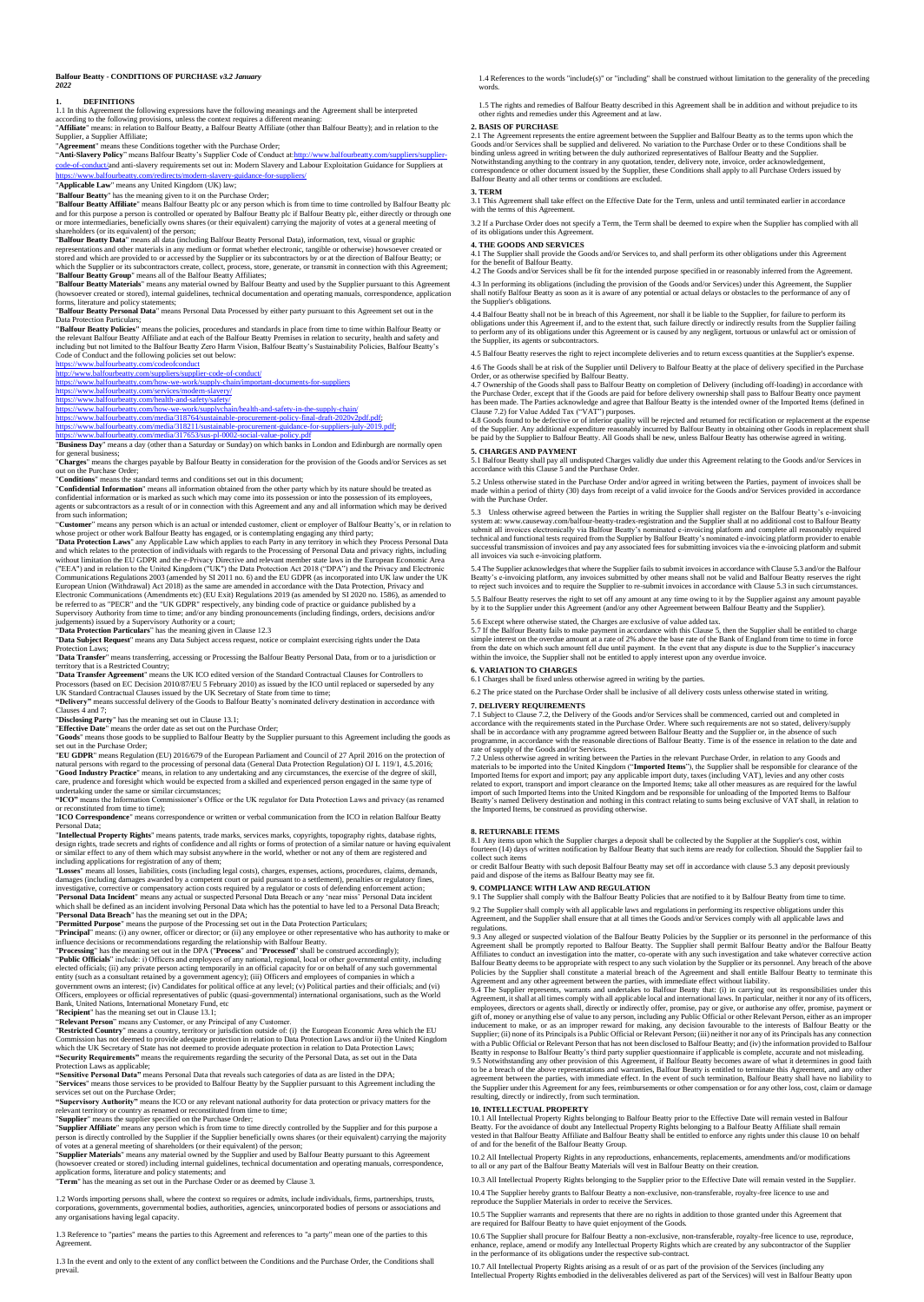### **Balfour Beatty - CONDITIONS OF PURCHASE** *v3.2 January 2022*

**1.** DEFINITIONS<br>1.1 In this Agreement the following expressions have the following meanings and the Agreement shall be interpreted<br>according to the following provisions, unless the context requires a different meaning:<br>"A

plier, a Supplier Affiliate;

"**Agreement**" means these Conditions together with the Purchase Order;<br>"A**nti-Slavery Policy**" means Balfour Beatty's Supplier Code of Conduct at:<u>http://www.balfourbeatty.com/suppliers/supplier-</u><br>[code-of-conduct/a](http://www.balfourbeatty.com/suppliers/supplier-code-of-conduct/)nd anti-//www.balfourbeatty.com/redirects/modern-slavery-guidance-for-s

"**Applicable Law**" means any United Kingdom (UK) law;

"**Balfour Beatty**" has the meaning given to it on the Purchase Order;<br>"**Balfour Beatty Affiliate**" means Balfour Beatty plc or any person which is from time to time controlled by Balfour Beatty plc<br>and for this purpose a p shareholders (or its equivalent) of the person;

"**Balfour Beatty Data**" means all data (including Balfour Beatty Personal Data), information, text, visual or graphic

representations and other materials in any medium or format whether electronic, tangible or otherwise) hows<br>over created or shortly assumed to or accessed by the Supplier or its subcontractors by or at the direction of Bal

"**Balfour Beatty Personal Data**" means Personal Data Processed by either party pursuant to this Agreement set out in the

Data Protection Particulars;<br>
"The Constant Production" and standards in place from time to time within Balfour Beatty or<br>
"Balfour Beatty Policies" means the policies, procedures and standards in place from time to time w

https://www.balfourbeatty.com/how-we-work/supply-chain

### <https://www.balfourbeatty.com/services/modern-slavery/> <https://www.balfourbeatty.com/health-and-safety/safety/>

<https://www.balfourbeatty.com/how-we-work/supplychain/health-and-safety-in-the-supply-chain/> [https://www.balfourbeatty.com/media/318764/sustainable-procurement-policy-final-draft-2020v2pdf.pdf;](https://www.balfourbeatty.com/media/318764/sustainable-procurement-policy-final-draft-2020v2pdf.pdf)

https://www.balfourbeatty.com/media/318211/sustainable-procurement-guidance-for-suppliers-july-201<br>https://www.balfourbeatty.com/media/317653/sus-pl-0002-social-value-policy.pdf

## halfourbeatty.com/media/317653/sus-pl-0002-social-value-**IIIIDS://WWW.bandulterally.comethedials/110208308-pc** books books in London and Edinburgh are normally open<br>"Business Day" means a day (other than a Saturday or Sunday) on which banks in London and Edinburgh are normally

for general business; "**Charges**" means the charges payable by Balfour Beatty in consideration for the provision of the Goods and/or Services as set

out on the Purchase Order;<br>"Co**nditions"** means the standard terms and conditions set out in this document;<br>"Conditions" means the standard terms and information obtained from the other party which by its nature should be

"Customer" means any person which is an actual or intended customer, client or employer of Balfour Beatty's, or in relation to whose project or other work Balfour Beatty has engaged any is contemplaing engaging any third

"**Data Subject Request**" means any Data Subject access request, notice or complaint exercising rights under the Data Protection Laws;

"**Data Transfer**" means transferring, accessing or Processing the Balfour Beatty Personal Data, from or to a jurisdiction or

territory that is a Restricted Country; "**Data Transfer Agreement**" means the UK ICO edited version of the Standard Contractual Clauses for Controllers to Processors (based on EC Decision 2010/87/EU 5 February 2010) as issued by the ICO until replaced or superseded by any<br>UK Standard Contractual Clauses issued by the UK Secretary of State from time to time;<br>"Delivery" means

Clauses 4 and 7;<br>
"Disclosing Party" has the meaning set out in Clause 13.1;<br>
"Disclosing Party" has the meaning set out on the Purchase Order;<br>
"Effective Date" means the order date as set out on the Purchase Order;<br>
"Gr

**"ICO"** means the Information Commissioner's Office or the UK regulator for Data Protection Laws and privacy (as renamed or reconstituted from time to time);

"ICO Correspondence" means correspondence or written or verbal communication from the ICO in relation Balfour Beatty<br>
"Personal Data;<br>
"Intellectual Property Rights" means patents, trade marks, services marks, copyrights,

"**Relevant Preson**" means any Customer, or any Principal of any Customer.<br>"**Restricted Country**" means a country, territory or jurisdiction outside of: (i) the European Economic Area which the EU<br>Commission has not deemed

application forms, literature and policy statements; and **"Term**" has the meaning as set out in the Purchase Order or as deemed by Clause 3.

1.2 Words importing persons shall, where the context so requires or admits, include individuals, firms, partnerships, trusts,<br>corporations, governments, governmental bodies, authorities, agencies, unincorporated bodies of any organisations having legal capacity.

1.3 Reference to "parties" means the parties to this Agreement and references to "a party" mean one of the parties to this Agreement.

1.3 In the event and only to the extent of any conflict between the Conditions and the Purchase Order, the Conditions shall prevail.

1.4 References to the words "include(s)" or "including" shall be construed without limitation to the generality of the preceding words.

1.5 The rights and remedies of Balfour Beatty described in this Agreement shall be in addition and without prejudice to its other rights and remedies under this Agreement and at law.

# **2. BASIS OF PURCHASE**

2.1 The Agreement represents the entire agreement between the Supplier and Balfour Beatty as to the terms upon which the<br>Goods and/or Services shall be supplied and delivered. No variation to the Purchase Order or to these binding unless agreed in writing between the duly authorized representatives of Balfour Beatty and the Supplier.<br>Notwithstanding anything to the contrary in any quotation, tender, delivery note, invoice, order acknowledgem Balfour Beatty and all other terms or conditions are excluded.

**3. TERM** 3.1 This Agreement shall take effect on the Effective Date for the Term, unless and until terminated earlier in accordance with the terms of this Agreement.

3.2 If a Purchase Order does not specify a Term, the Term shall be deemed to expire when the Supplier has complied with all of its obligations under this Agreem

### **4. THE GOODS AND SERVICES**

4.1 The Supplier shall provide the Goods and/or Services to, and shall perform its other obligations under this Agreement for the benefit of Balfour Beatty. 4.2 The Goods and/or Services shall be fit for the intended purpose specified in or reasonably inferred from the Agreement.

4.3 In performing its obligations (including the provision of the Goods and/or Services) under this Agreement, the Supplier<br>shall notify Balfour Beatty as soon as it is aware of any potential or actual delays or obstacles the Supplier's obligations.

4.4 Balfour Beatty shall not be in breach of this Agreement, nor shall it be liable to the Supplier, for failure to perform its<br>obligations under this Agreement if, and to the extent that, such failure directly or indirect

4.5 Balfour Beatty reserves the right to reject incomplete deliveries and to return excess quantities at the Supplier's expense.

4.6 The Goods shall be at risk of the Supplier until Delivery to Balfour Beatty at the place of delivery specified in the Purchase Order, or as otherwise specified by Balfour Beatty. 4.7 Ownership of the Goods shall pass to Baffour Beatter the Universe included the Torchains of the Coreal and the Coreal the Goods are paid for before delivery ownership shall pass to Balfour Beatty once payment thas been

# **5. CHARGES AND PAYMENT**

5.1 Balfour Beatty shall pay all undisputed Charges validly due under this Agreement relating to the Goods and/or Services in accordance with this Clause 5 and the Purchase Order.

5.2 Unless otherwise stated in the Purchase Order and/or agreed in writing between the Parties, payment of invoices shall be<br>made within a period of thirty (30) days from receipt of a valid invoice for the Goods and/or Ser

5.3 Unless otherwise agreed between the Parties in writing the Supplier shall register on the Balfour Beatty's e-invoicing<br>system at: www.causeway.com/balfour-beatty-tradex-registration and the Supplier shall at no additio

5.4 The Supplier acknowledges that where the Supplier fails to submit invoices in accordance with Clause 5.3 and/or the Balfour<br>Beatty's e-invoicing platform, any invoices submitted by other means shall not be valid and Ba

5.5 Balfour Beatty reserves the right to set off any amount at any time owing to it by the Supplier against any amount payable<br>by it to the Supplier under this Agreement (and/or any other Agreement between Balfour Beatty a

5.6 Except where otherwise stated, the Charges are exclusive of value added tax.

5.7 If the Balfour Beatty fails to make payment in accordance with this Clause 5, then the Supplier shall be entitled to charge<br>simple interest on the overdue amount at a rate of 2% above the base rate of the Bank of Engla from the date on which such amount fell due until payment. In the event that any dispute is due to the Supplier's inaccuracy within the invoice, the Supplier shall not be entitled to apply interest upon any overdue invoice.

### **6. VARIATION TO CHARGES**

6.1 Charges shall be fixed unless otherwise agreed in writing by the parties.

6.2 The price stated on the Purchase Order shall be inclusive of all delivery costs unless otherwise stated in writing.

**7. DELIVERY REQUIREMENTS**<br>7.1 Subject to Clause 7.2 dec Feb

7.1 Subject to Clause 7.2, the Delivery of the Goods and/or Services shall be commenced, carried out and completed in<br>accordance with the requirements stated in the Purchase Order. Where such requirements are not so stated

# **8. RETURNABLE ITEMS**

8.1 Any items upon which the Supplier charges a deposit shall be collected by the Supplier at the Supplier's cost, within<br>fourteen (14) days of written notification by Balfour Beatty that such items are ready for collectio

collect such items<br>or credit Balfour Beatty with such deposit Balfour Beatty may set off in accordance with clause 5.3 any deposit previously<br>paid and dispose of the items as Balfour Beatty may see fit.

# **9. COMPLIANCE WITH LAW AND REGULATION**

9.1 The Supplier shall comply with the Balfour Beatty Policies that are notified to it by Balfour Beatty from time to time. 9.2 The Supplier shall comply with all applicable laws and regulations in performing its respective obligations under this<br>Agreement, and the Supplier shall ensure that at all times the Goods and/or Services comply with al

regulations.<br>
Seguentian and the particulation of the Balfour Beatty Policies by the Supplier or its personnel in the performance of this Agreement shall be promptly reported to Balfour Beatty. The Supplier shall permit Ba

inducement to make, or as an improper reward for making, any decision favourable to the interests of Balfour Beatty or the<br>Supplier; (ii) none of its Principals is a Public Official or Relevant Person; (iii) neither it nor with a Public Official or Relevant Person that has not been disclosed to Balfour Beatty; and (iv) the information provided to Balfour Beatty in response to Balfour Beatty's third party supplier questionnaire if applicable is complete, accurate and not misleading.<br>9.5. Notwintshanding any other provision of this Agreement, if Balfour Beatty becomes aware

10. INTELLECTUAL PROPERTY<br>10.1 All Intellectual Property Rights belonging to Balfour Beatty prior to the Effective Date will remain vested in Balfour<br>10.1 All Intellectual Property Rights belonging to Balfour Beatty. For t

10.2 All Intellectual Property Rights in any reproductions, enhancements, replacements, amendments and/or modifications to all or any part of the Balfour Beatty Materials will vest in Balfour Beatty on their creation.

10.3 All Intellectual Property Rights belonging to the Supplier prior to the Effective Date will remain ve 10.4 The Supplier hereby grants to Balfour Beatty a non-exclusive, non-transferable, royalty-free licence to use and reproduce the Supplier Materials in order to receive the Services.

10.5 The Supplier warrants and represents that there are no rights in addition to those granted under this Agreement that are required for Balfour Beatty to have quiet enjoyment of the Goods.

10.6 The Supplier shall procure for Balfour Beatty a non-exclusive, non-transferable, royalty-free licence to use, reproduce,<br>enhance, replace, amend or modify any Intellectual Property Rights which are created by any subc

10.7 All Intellectual Property Rights arising as a result of or as part of the provision of the Services (including any<br>Intellectual Property Rights embodied in the deliverables delivered as part of the Services) will vest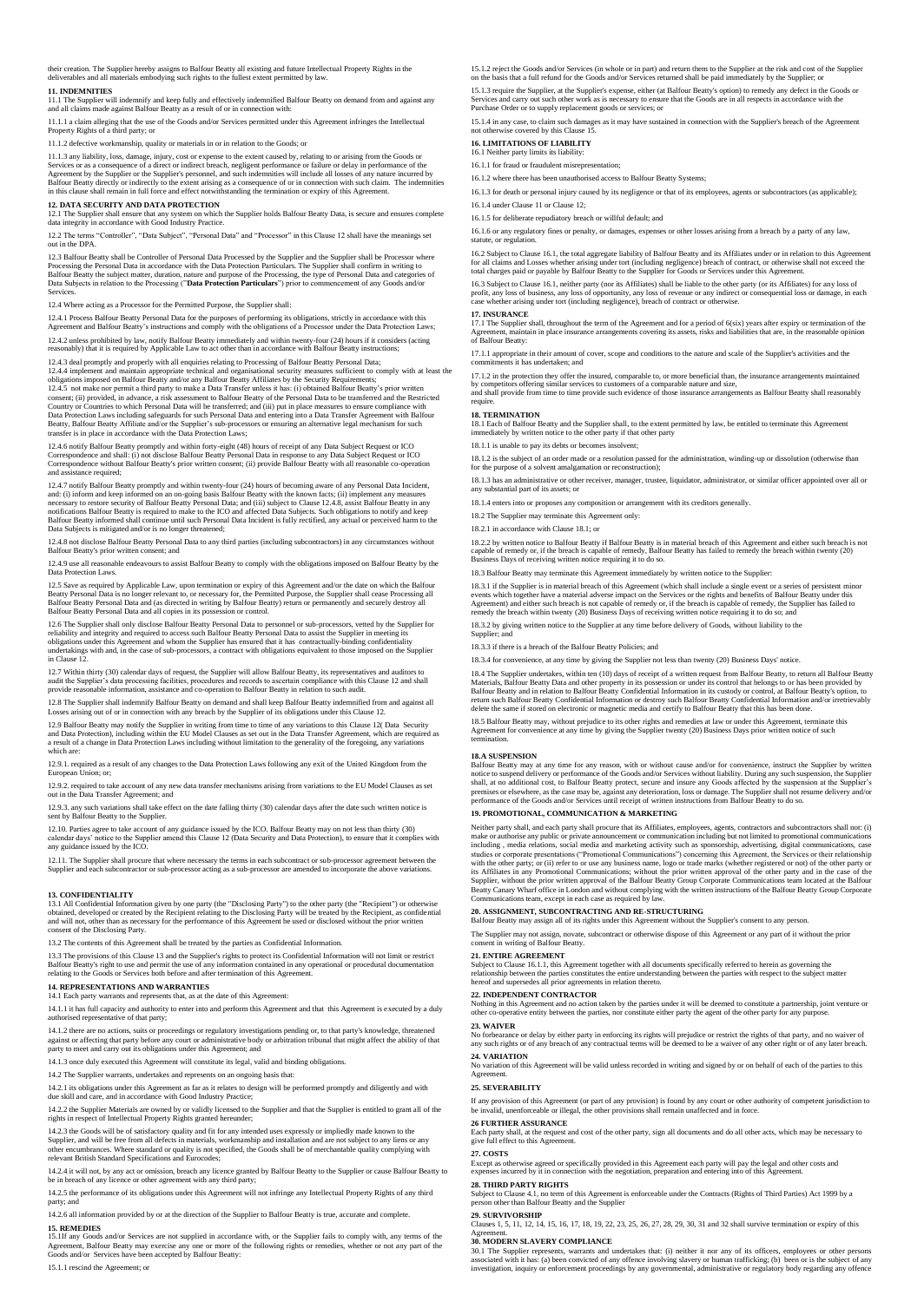their creation. The Supplier hereby assigns to Balfour Beatty all existing and future Intellectual Property Rights in the deliverables and all materials embodying such rights to the fullest extent permitted by law.

11. INDEMNITIES<br>11.1 The Supplier will indemnify and keep fully and effectively indemnified Balfour Beatty on demand from and against any<br>and all claims made against Balfour Beatty as a result of or in connection with:

11.1.1 a claim alleging that the use of the Goods and/or Services permitted under this Agreement infringes the Intelle Property Rights of a third party; or

11.1.2 defective workmanship, quality or materials in or in relation to the Goods; or

11.1.3 any liability, loss, damage, injury, cost or expense to the extent caused by, relating to or arising from the Goods or<br>Services or as a consequence of a direct or indirect breach, negligent performance or failure or

12. DATA SECURITY AND DATA PROTECTION<br>12.1 The Supplier shall ensure that any system on which the Supplier holds Balfour Beatty Data, is secure and ensures complete<br>data integrity in accordance with Good Industry Practice.

ns "Controller", "Data Subject", "Personal Data" and "Processor" in this Clause 12 shall have the m out in the DPA.

12.3 Balfour Beatty shall be Controller of Personal Data Processed by the Supplier and the Supplier shall be Processor where<br>Processing the Personal Data in accordance with the Data Protection Particulars. The Supplier sha **Services** 

12.4 Where acting as a Processor for the Permitted Purpose, the Supplier shall:

12.4.1 Process Balfour Beatty Personal Data for the purposes of performing its obligations, strictly in accordance with this<br>Agreement and Balfour Beatty's instructions and comply with the obligations of a Processor under 12.4.2 unless prohibited by law, notify Balfour Beatty immediately and within twenty-four (24) hours if it considers (acting<br>reasonably) that it is required by Applicable Law to act other than in accordance with Balfour Be

12.4.3 deal promptly and properly with all enquiries relating to Processing of Balfour Beatty Personal Data;<br>12.4.4 implement and maintain appropriate technical and organisational security measures sufficient to comply wit 12.4.4 implement and maintain appropriate technical and organisational security measures sufficient to comply with at least the obligations imposed on Balfour Beatty and/or any Balfour Beatty Affiliates by the Security Req Country or Countries to which Personal Data will be transferred; and (iii) put in place measures to ensure compliance with<br>Data Protection Laws including safeguards for such Personal Data and entering into a Data Transfer

# 12.4.6 notify Balfour Beatty promptly and within forty-eight (48) hours of receipt of any Data Subject Request or ICO<br>Correspondence and shall: (i) not disclose Balfour Beatty Personal Data in response to any Data Subject

12.4.7 notify Balfour Beatty promptly and within twenty-four (24) hours of becoming aware of any Personal Data Incident,<br>and: (i) inform and keep informed on an on-going basis Balfour Beatty with the known facts; (ii) impl Data Subjects is mitigated and/or is no longer the

12.4.8 not disclose Balfour Beatty Personal Data to any third parties (including subcontractors) in any circumstances without Balfour Beatty's prior written consent; and

12.4.9 use all reasonable endeavours to assist Balfour Beatty to comply with the obligations imposed on Balfour Beatty by the Data Protection Laws.

12.5 Save as required by Applicable Law, upon termination or expiry of this Agreement and/or the date on which the Balfour<br>Beatty Personal Data is no longer relevant to, or necessary for, the Permitted Purpose, the Supplie

12.6 The Supplier shall only disclose Balfour Beatty Personal Data to personnel or sub-processors, vetted by the Supplier for<br>reliability and integrity and required to access such Balfour Beatty Personal Data to assist the in Clause 12.

12.7 Within thirty (30) calendar days of request, the Supplier will allow Balfour Beatty, its representatives and auditors to<br>audit the Supplier's data processing facilities, procedures and records to ascertain compliance

12.8 The Supplier shall indemnify Balfour Beatty on demand and shall keep Balfour Beatty indemnified from and against all<br>Losses arising out of or in connection with any breach by the Supplier of its obligations under this

12.9 Balfour Beatty may notify the Supplier in writing from time to time of any variations to this Clause 12( Data Security<br>and Data Protection), including within the EU Model Clauses as set out in the Data Transfer Agreem

12.9.1. required as a result of any changes to the Data Protection Laws following any exit of the United Kingdom from the European Union; or;

12.9.2. required to take account of any new data transfer mechanisms arising from variations to the EU Model Clauses as set out in the Data Transfer Agreement; and

12.9.3. any such variations shall take effect on the date falling thirty (30) calendar days after the date such written notice is sent by Balfour Beatty to the Supplier.

12.10. Parties agree to take account of any guidance issued by the ICO. Balfour Beatty may on not less than thirty (30)<br>calendar days' notice to the Supplier amend this Clause 12 (Data Security and Data Protection), to ens

12.11. The Supplier shall procure that where necessary the terms in each subcontract or sub-processor agreement between the<br>Supplier and each subcontractor or sub-processor acting as a sub-processor are amended to incorpor

## **13. CONFIDENTIALITY**

13.1 All Confidential Information given by one party (the "Disclosing Party") to the other party (the "Recipient") or otherwise<br>obtained, developed or created by the Recipient relating to the Disclosing Party will be treat consent of the Disclosing Party.

13.2 The contents of this Agreement shall be treated by the parties as Confidential Information.

13.3 The provisions of this Clause 13 and the Supplier's rights to protect its Confidential Information will not limit or restrict<br>Balfour Beatty's right to use and permit the use of any information contained in any operat

# **14. REPRESENTATIONS AND WARRANTIES** 14.1 Each party warrants and represents that, as at the date of this Agreement:

14.1.1 it has full capacity and authority to enter into and perform this Agreement and that this Agreement is executed by a duly authorised representative of that party;

14.1.2 there are no actions, suits or proceedings or regulatory investigations pending or, to that party's knowledge, threatened<br>against or affecting that party before any court or administrative body or arbitration tribun

14.1.3 once duly executed this Agreement will constitute its legal, valid and binding obligations.

14.2 The Supplier warrants, undertakes and represents on an ongoing basis that:

14.2.1 its obligations under this Agreement as far as it relates to design will be performed promptly and diligently and with due skill and care, and in accordance with Good Industry Practice;

14.2.2 the Supplier Materials are owned by or validly licensed to the Supplier and that the Supplier is entitled to grant all of the

rights in respect of Intellectual Property Rights granted hereunder;

14.2.3 the Goods will be of satisfactory quality and fit for any intended uses expressly or impliedly made known to the<br>Supplier, and will be free from all defects in materials, workmanship and installation and are not sub

14.2.4 it will not, by any act or omission, breach any licence granted by Balfour Beatty to the Supplier or cause Balfour Beatty to be in breach of any licence or other agreement with any third party;

14.2.5 the performance of its obligations under this Agreement will not infringe any Intellectual Property Rights of any third party; and 14.2.6 all information provided by or at the direction of the Supplier to Balfour Beatty is true, accurate and co

15. REMEDIES<br>15.11f any Goods and/or Services are not supplied in accordance with, or the Supplier fails to comply with, any terms of the<br>Agreement, Balfour Beatty may exercise any one or more of the following rights or re

15.1.1 rescind the Agreement; or

15.1.2 reject the Goods and/or Services (in whole or in part) and return them to the Supplier at the risk and cost of the Supplier<br>on the basis that a full refund for the Goods and/or Services returned shall be paid immedi

15.1.3 require the Supplier, at the Supplier's expense, either (at Balfour Beatty's option) to remedy any defect in the Goods or<br>Services and carry out such other work as is necessary to ensure that the Goods are in all re Purchase Order or to supply replacement goods or services; or

15.1.4 in any case, to claim such damages as it may have sustained in connection with the Supplier's breach of the Agreement not otherwise covered by this Clause 15.

# **16. LIMITATIONS OF LIABILITY**

16.1 Neither party limits its liability:

16.1.1 for fraud or fraudulent misrepresentation;

16.1.2 where there has been unauthorised access to Balfour Beatty Systems;

16.1.3 for death or personal injury caused by its negligence or that of its employees, agents or subcontractors (as applicable); 16.1.4 under Clause 11 or Clause 12;

16.1.5 for deliberate repudiatory breach or willful default; and

16.1.6 or any regulatory fines or penalty, or damages, expenses or other losses arising from a breach by a party of any law, statute, or regulation.

16.2 Subject to Clause 16.1, the total aggregate liability of Balfour Beatty and its Affiliates under or in relation to this Agreement for all claims and Losses whether arising under tort (including negligence) breach of contract, or otherwise shall not exceed the<br>total charges paid or payable by Balfour Beatty to the Supplier for Goods or Services under

16.3 Subject to Clause 16.1, neither party (nor its Affiliates) shall be liable to the other party (or its Affiliates) for any loss of<br>profit, any loss of business, any loss of opportunity, any loss of revenue or any indir

17. INSURANCE<br>17.1 The Supplier shall, throughout the term of the Agreement and for a period of 6(six) years after expiry or termination of the<br>Agreement, maintain in place insurance arrangements covering its assets, risks

17.1.1 appropriate in their amount of cover, scope and conditions to the nature and scale of the Supplier's activities and the commitments it has undertaken; and

17.1.2 in the protection they offer the insured, comparable to, or more beneficial than, the insurance arrangements maintained<br>by competitors offering similar services to customers of a comparable nature and size,<br>and shal require.

# **18. TERMINATION**

18.1 Each of Balfour Beatty and the Supplier shall, to the extent permitted by law, be entitled to terminate this Agreement immediately by written notice to the other party if that other party ice to the other party if that other party

18.1.1 is unable to pay its debts or becomes insolvent;

18.1.2 is the subject of an order made or a resolution passed for the administration, winding-up or dissolution (otherwise than for the purpose of a solvent amalgamation or reconstruction);

18.1.3 has an administrative or other receiver, manager, trustee, liquidator, administrator, or similar officer appointed over all or substantial part of its assets; or

18.1.4 enters into or proposes any composition or arrangement with its creditors generally.

18.2 The Supplier may terminate this Agreement only:

18.2.1 in accordance with Clause 18.1; or

18.2.2 by written notice to Balfour Beatty if Balfour Beatty is in material breach of this Agreement and either such breach is not<br>capable of remedy or, if the breach is capable of remedy, Balfour Beatty has failed to reme

18.3 Balfour Beatty may terminate this Agreement immediately by written notice to the Supplier:

18.3.1 if the Supplier is in material breach of this Agreement (which shall include a single event or a series of persistent minor<br>events which together have a material adverse impact on the Services or the rights and bene

18.3.2 by giving written notice to the Supplier at any time before delivery of Goods, without liability to the Supplier; a

18.3.3 if there is a breach of the Balfour Beatty Policies; and

18.3.4 for convenience, at any time by giving the Supplier not less than twenty (20) Business Days' notice.

18.4 The Supplier undertakes, within ten (10) days of receipt of a written request from Balfour Beatty, to return all Balfour Beatty<br>Materials, Balfour Beatty Data and other property in its possession or under its control delete the same if stored on electronic or magnetic media and certify to Balfour Beatty that this has been done.

18.5 Balfour Beatty may, without prejudice to its other rights and remedies at law or under this Agreement, terminate this<br>Agreement for convenience at any time by giving the Supplier twenty (20) Business Days prior writte

### **18.A SUSPENSION**

Balfour Beatty may at any time for any reason, with or without cause and/or for convenience, instruct the Supplier by written<br>notice to suspend delivery or performance of the Goods and/or Services without liability. During premises or elsewhere, as the case may be, against any deterioration, loss or damage. The Supplier shall not resume delivery and/or<br>performance of the Goods and/or Services until receipt of written instructions from Balfou

# **19. PROMOTIONAL, COMMUNICATION & MARKETING**

Neither party shall, and each party shall procure that its Affiliates, employees, agents, contactors and subcontractors shall not (i)<br>make or authorise any public or private amouncement or communication including but not l

**20. ASSIGNMENT, SUBCONTRACTING AND RE-STRUCTURING** Balfour Beatty may assign all of its rights under this Agreement without the Supplier's consent to any person.

The Supplier may not assign, novate, subcontract or otherwise dispose of this Agreement or any part of it without the prior consent in writing of Balfour Beatty.

### **21. ENTIRE AGREEMENT**

Subject to Clause 16.1.1, this Agreement together with all documents specifically referred to herein as governing the<br>relationship between the parties constitutes the entire understanding between the parties with respect t

**22. INDEPENDENT CONTRACTOR**<br>Nothing in this Agreement and no action AGREEM in this Agreement and no action taken by the parties under it will be deemed to constitute a partnership, joint venture or other co-operative entity between the parties, nor constitute either party the agent of the other party for any purp

# **23. WAIVER**

No forbearance or delay by either party in enforcing its rights will prejudice or restrict the rights of that party, and no waiver of<br>any such rights or of any breach of any contractual terms will be deemed to be a waiver

# **24. VARIATION**

ttion of this Agreement will be valid unless recorded in writing and signed by or on behalf of each of the parties to this Agreement.

# **25. SEVERABILITY**

If any provision of this Agreement (or part of any provision) is found by any court or other authority of competent jurisdiction to<br>be invalid, unenforceable or illegal, the other provisions shall remain unaffected and in

**26 FURTHER ASSURANCE**

Each party shall, at the request and cost of the other party, sign all documents and do all other acts, which may be necessary to give full effect to this Agreement.

# **27. COSTS 28. THIRD PARTY RIGHTS**

Agreement. **30. MODERN SLAVERY COMPLIANCE**

Except as otherwise agreed or specifically provided in this Agreement each party will pay the legal and other costs and<br>expenses incurred by it in connection with the negotiation, preparation and entering into of this Agre

Subject to Clause 4.1, no term of this Agreement is enforceable under the Contracts (Rights of Third Parties) Act 1999 by a person other than Balfour Beatty and the Supplier **29. SURVIVORSHIP** Clauses 1, 5, 11, 12, 14, 15, 16, 17, 18, 19, 22, 23, 25, 26, 27, 28, 29, 30, 31 and 32 shall survive termination or expiry of this

30.1 The Supplier represents, warrants and undertakes that: (i) neither it nor any of its officers, employees or other persons<br>associated with it has: (a) been convicted of any offence involving slavery or human traffickin